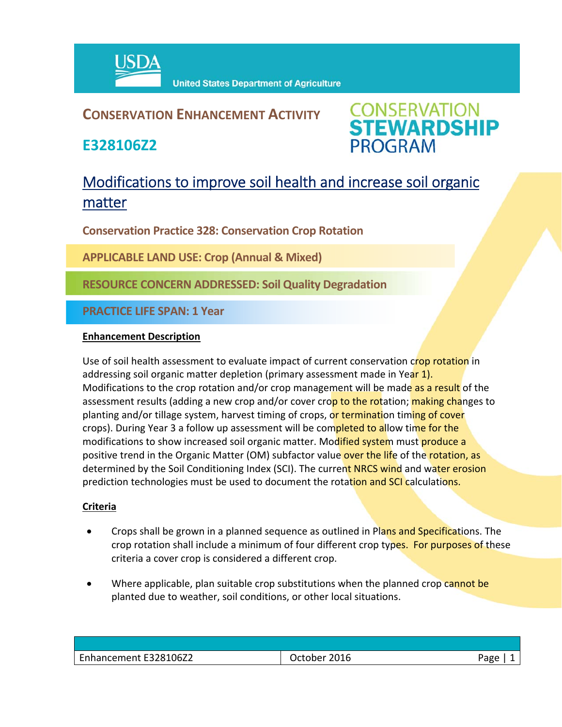

### **CONSERVATION ENHANCEMENT ACTIVITY**

**E328106Z2**



## Modifications to improve soil health and increase soil organic matter

**Conservation Practice 328: Conservation Crop Rotation**

**APPLICABLE LAND USE: Crop (Annual & Mixed)** 

**RESOURCE CONCERN ADDRESSED: Soil Quality Degradation**

**PRACTICE LIFE SPAN: 1 Year**

#### **Enhancement Description**

Use of soil health assessment to evaluate impact of current conservation crop rotation in addressing soil organic matter depletion (primary assessment made in Year 1). Modifications to the crop rotation and/or crop management will be made as a result of the assessment results (adding a new crop and/or cover crop to the rotation; making changes to planting and/or tillage system, harvest timing of crops, or termination timing of cover crops). During Year 3 a follow up assessment will be completed to allow time for the modifications to show increased soil organic matter. Modified system must produce a positive trend in the Organic Matter (OM) subfactor value over the life of the rotation, as determined by the Soil Conditioning Index (SCI). The current NRCS wind and water erosion prediction technologies must be used to document the rotation and SCI calculations.

#### **Criteria**

- Crops shall be grown in a planned sequence as outlined in Plans and Specifications. The crop rotation shall include a minimum of four different crop types. For purposes of these criteria a cover crop is considered a different crop.
- Where applicable, plan suitable crop substitutions when the planned crop cannot be planted due to weather, soil conditions, or other local situations.

| Enhancement E328106Z2 | 2016<br>October | Page |
|-----------------------|-----------------|------|